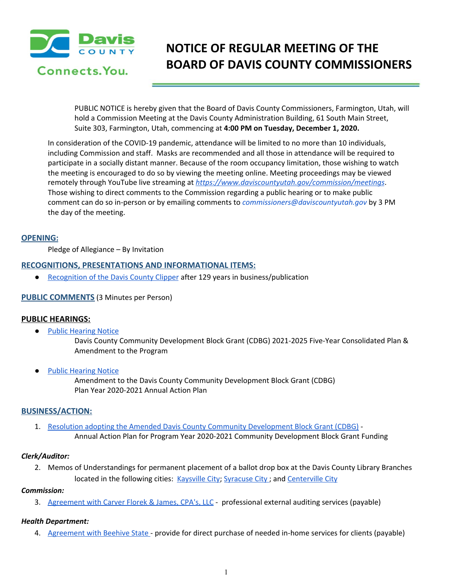

# **NOTICE OF REGULAR MEETING OF THE BOARD OF DAVIS COUNTY COMMISSIONERS**

PUBLIC NOTICE is hereby given that the Board of Davis County Commissioners, Farmington, Utah, will hold a Commission Meeting at the Davis County Administration Building, 61 South Main Street, Suite 303, Farmington, Utah, commencing at **4:00 PM on Tuesday, December 1, 2020.**

In consideration of the COVID-19 pandemic, attendance will be limited to no more than 10 individuals, including Commission and staff. Masks are recommended and all those in attendance will be required to participate in a socially distant manner. Because of the room occupancy limitation, those wishing to watch the meeting is encouraged to do so by viewing the meeting online. Meeting proceedings may be viewed remotely through YouTube live streaming at *<https://www.daviscountyutah.gov/commission/meetings>*. Those wishing to direct comments to the Commission regarding a public hearing or to make public comment can do so in-person or by emailing comments to *commissioners@daviscountyutah.gov* by 3 PM the day of the meeting.

## **OPENING:**

Pledge of Allegiance – By Invitation

# **RECOGNITIONS, PRESENTATIONS AND INFORMATIONAL ITEMS:**

● [Recognition](https://drive.google.com/file/d/1qgBpRiaoW3od_Gg_vRJUxVcMt1o-GFwa/view?usp=drivesdk) of the Davis County Clipper after 129 years in business/publication

# **PUBLIC COMMENTS** (3 Minutes per Person)

# **PUBLIC HEARINGS:**

● Public [Hearing](https://drive.google.com/file/d/1WEmvhdM5O13uKErC0fsN948F67OMjcO4/view?usp=drivesdk) Notice

Davis County Community Development Block Grant (CDBG) 2021-2025 Five-Year Consolidated Plan & Amendment to the Program

● Public [Hearing](https://drive.google.com/file/d/1qezCGj4p8dGTxv1rBL5zzu4hevhbomrN/view?usp=drivesdk) Notice

Amendment to the Davis County Community Development Block Grant (CDBG) Plan Year 2020-2021 Annual Action Plan

# **BUSINESS/ACTION:**

1. Resolution adopting the Amended Davis County Community [Development](https://drive.google.com/file/d/1wD2qYTJ1Fs1mxMVjHVECf3qbOh8beIC2/view?usp=drivesdk) Block Grant (CDBG) - Annual Action Plan for Program Year 2020-2021 Community Development Block Grant Funding

#### *Clerk/Auditor:*

2. Memos of Understandings for permanent placement of a ballot drop box at the Davis County Library Branches located in the following cities: [Kaysville](https://drive.google.com/file/d/1VHN7L1sOw2Isr9gdy1KSj8vq86wFvnAl/view?usp=drivesdk) City; [Syracuse](https://drive.google.com/file/d/1GWRhOA83UmqgHd58CLaJoTMPkNRc8ea4/view?usp=drivesdk) City; and [Centerville](https://drive.google.com/file/d/1hrPvgTntoRo79nFijm2ihJx9aud4g3r_/view?usp=drivesdk) City

#### *Commission:*

3. [Agreement](https://drive.google.com/file/d/1Xg0dP_yDRWVK-ZkzlD0n4bUq55M2wl90/view?usp=drivesdk) with Carver Florek & James, CPA's, LLC - professional external auditing services (payable)

# *Health Department:*

4. [Agreement](https://drive.google.com/file/d/1uNKU16YlQWBzr9JsP_J33MVyfPXh_XBt/view?usp=drivesdk) with Beehive State - provide for direct purchase of needed in-home services for clients (payable)